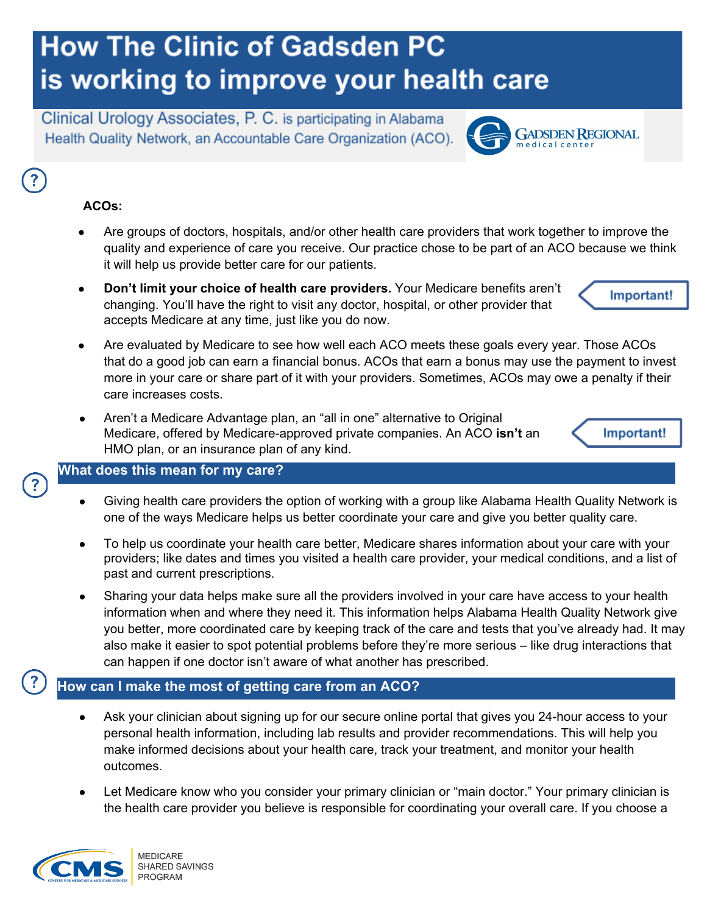# **How The Clinic of Gadsden PC** is working to improve your health care

Clinical Urology Associates, P. C. is participating in Alabama Health Quality Network, an Accountable Care Organization (ACO).

### **ACOs:**

- Are groups of doctors, hospitals, and/or other health care providers that work together to improve the quality and experience of care you receive. Our practice chose to be part of an ACO because we think it will help us provide better care for our patients.
- **Don't limit your choice of health care providers.** Your Medicare benefits aren't changing. You'll have the right to visit any doctor, hospital, or other provider that accepts Medicare at any time, just like you do now.
- Are evaluated by Medicare to see how well each ACO meets these goals every year. Those ACOs that do a good job can earn a financial bonus. ACOs that earn a bonus may use the payment to invest more in your care or share part of it with your providers. Sometimes, ACOs may owe a penalty if their care increases costs.
- Aren't a Medicare Advantage plan, an "all in one" alternative to Original Medicare, offered by Medicare-approved private companies. An ACO **isn't** an HMO plan, or an insurance plan of any kind.

#### **What does this mean for my care?**

- Giving health care providers the option of working with a group like Alabama Health Quality Network is one of the ways Medicare helps us better coordinate your care and give you better quality care.
- To help us coordinate your health care better, Medicare shares information about your care with your providers; like dates and times you visited a health care provider, your medical conditions, and a list of past and current prescriptions.
- Sharing your data helps make sure all the providers involved in your care have access to your health information when and where they need it. This information helps Alabama Health Quality Network give you better, more coordinated care by keeping track of the care and tests that you've already had. It may also make it easier to spot potential problems before they're more serious – like drug interactions that can happen if one doctor isn't aware of what another has prescribed.

#### **How can I make the most of getting care from an ACO?**

- Ask your clinician about signing up for our secure online portal that gives you 24-hour access to your personal health information, including lab results and provider recommendations. This will help you make informed decisions about your health care, track your treatment, and monitor your health outcomes.
- Let Medicare know who you consider your primary clinician or "main doctor." Your primary clinician is the health care provider you believe is responsible for coordinating your overall care. If you choose a



**MEDICARE** SHARED SAVINGS PROGRAM

Important!